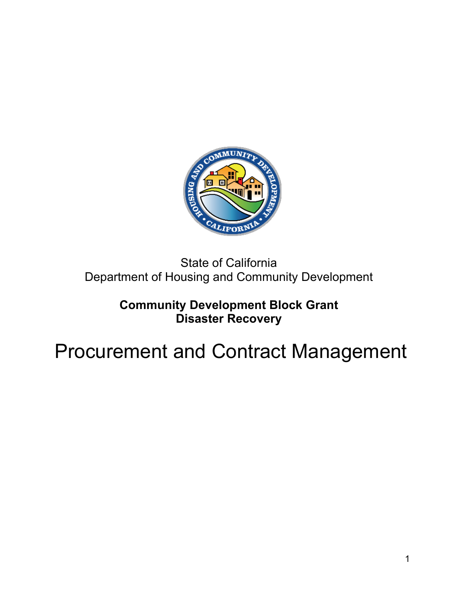

### State of California Department of Housing and Community Development

### **Community Development Block Grant Disaster Recovery**

# Procurement and Contract Management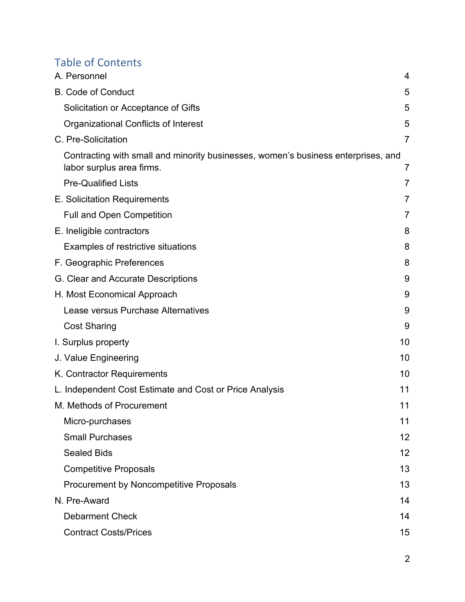### Table of Contents

| A. Personnel                                                                                                   | 4              |
|----------------------------------------------------------------------------------------------------------------|----------------|
| <b>B. Code of Conduct</b>                                                                                      | 5              |
| Solicitation or Acceptance of Gifts                                                                            | 5              |
| Organizational Conflicts of Interest                                                                           | 5              |
| C. Pre-Solicitation                                                                                            | $\overline{7}$ |
| Contracting with small and minority businesses, women's business enterprises, and<br>labor surplus area firms. | 7              |
| <b>Pre-Qualified Lists</b>                                                                                     | 7              |
| E. Solicitation Requirements                                                                                   | $\overline{7}$ |
| <b>Full and Open Competition</b>                                                                               | $\overline{7}$ |
| E. Ineligible contractors                                                                                      | 8              |
| Examples of restrictive situations                                                                             | 8              |
| F. Geographic Preferences                                                                                      | 8              |
| G. Clear and Accurate Descriptions                                                                             | 9              |
| H. Most Economical Approach                                                                                    | 9              |
| Lease versus Purchase Alternatives                                                                             | 9              |
| <b>Cost Sharing</b>                                                                                            | 9              |
| I. Surplus property                                                                                            | 10             |
| J. Value Engineering                                                                                           | 10             |
| K. Contractor Requirements                                                                                     | 10             |
| L. Independent Cost Estimate and Cost or Price Analysis                                                        | 11             |
| M. Methods of Procurement                                                                                      | 11             |
| Micro-purchases                                                                                                | 11             |
| <b>Small Purchases</b>                                                                                         | 12             |
| <b>Sealed Bids</b>                                                                                             | 12             |
| <b>Competitive Proposals</b>                                                                                   | 13             |
| <b>Procurement by Noncompetitive Proposals</b>                                                                 | 13             |
| N. Pre-Award                                                                                                   | 14             |
| <b>Debarment Check</b>                                                                                         | 14             |
| <b>Contract Costs/Prices</b>                                                                                   | 15             |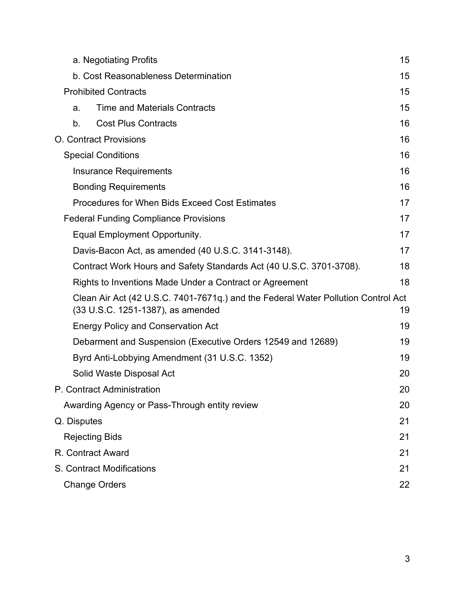| a. Negotiating Profits                                                                                                 | 15 |
|------------------------------------------------------------------------------------------------------------------------|----|
| b. Cost Reasonableness Determination                                                                                   | 15 |
| <b>Prohibited Contracts</b>                                                                                            | 15 |
| <b>Time and Materials Contracts</b><br>a.                                                                              | 15 |
| <b>Cost Plus Contracts</b><br>b.                                                                                       | 16 |
| <b>O.</b> Contract Provisions                                                                                          | 16 |
| <b>Special Conditions</b>                                                                                              | 16 |
| <b>Insurance Requirements</b>                                                                                          | 16 |
| <b>Bonding Requirements</b>                                                                                            | 16 |
| <b>Procedures for When Bids Exceed Cost Estimates</b>                                                                  | 17 |
| <b>Federal Funding Compliance Provisions</b>                                                                           | 17 |
| Equal Employment Opportunity.                                                                                          | 17 |
| Davis-Bacon Act, as amended (40 U.S.C. 3141-3148).                                                                     | 17 |
| Contract Work Hours and Safety Standards Act (40 U.S.C. 3701-3708).                                                    | 18 |
| Rights to Inventions Made Under a Contract or Agreement                                                                | 18 |
| Clean Air Act (42 U.S.C. 7401-7671q.) and the Federal Water Pollution Control Act<br>(33 U.S.C. 1251-1387), as amended | 19 |
| <b>Energy Policy and Conservation Act</b>                                                                              | 19 |
| Debarment and Suspension (Executive Orders 12549 and 12689)                                                            | 19 |
| Byrd Anti-Lobbying Amendment (31 U.S.C. 1352)                                                                          | 19 |
| Solid Waste Disposal Act                                                                                               | 20 |
| P. Contract Administration                                                                                             | 20 |
| Awarding Agency or Pass-Through entity review                                                                          | 20 |
| Q. Disputes                                                                                                            | 21 |
| <b>Rejecting Bids</b>                                                                                                  | 21 |
| R. Contract Award                                                                                                      | 21 |
| S. Contract Modifications                                                                                              | 21 |
| <b>Change Orders</b>                                                                                                   | 22 |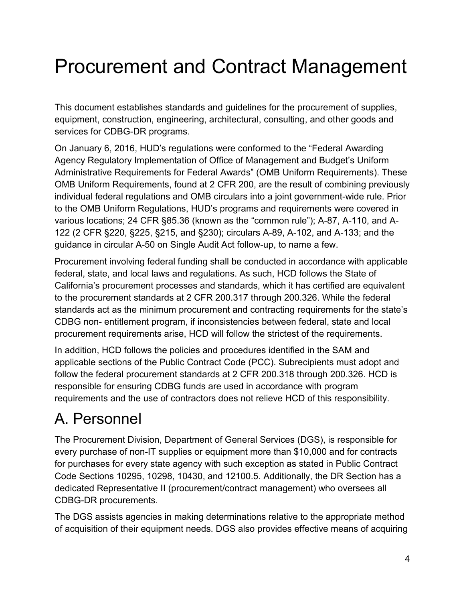# Procurement and Contract Management

This document establishes standards and guidelines for the procurement of supplies, equipment, construction, engineering, architectural, consulting, and other goods and services for CDBG-DR programs.

On January 6, 2016, HUD's regulations were conformed to the "Federal Awarding Agency Regulatory Implementation of Office of Management and Budget's Uniform Administrative Requirements for Federal Awards" (OMB Uniform Requirements). These OMB Uniform Requirements, found at 2 CFR 200, are the result of combining previously individual federal regulations and OMB circulars into a joint government-wide rule. Prior to the OMB Uniform Regulations, HUD's programs and requirements were covered in various locations; 24 CFR §85.36 (known as the "common rule"); A-87, A-110, and A-122 (2 CFR §220, §225, §215, and §230); circulars A-89, A-102, and A-133; and the guidance in circular A-50 on Single Audit Act follow-up, to name a few.

Procurement involving federal funding shall be conducted in accordance with applicable federal, state, and local laws and regulations. As such, HCD follows the State of California's procurement processes and standards, which it has certified are equivalent to the procurement standards at 2 CFR 200.317 through 200.326. While the federal standards act as the minimum procurement and contracting requirements for the state's CDBG non- entitlement program, if inconsistencies between federal, state and local procurement requirements arise, HCD will follow the strictest of the requirements.

In addition, HCD follows the policies and procedures identified in the SAM and applicable sections of the Public Contract Code (PCC). Subrecipients must adopt and follow the federal procurement standards at 2 CFR 200.318 through 200.326. HCD is responsible for ensuring CDBG funds are used in accordance with program requirements and the use of contractors does not relieve HCD of this responsibility.

### <span id="page-3-0"></span>A. Personnel

The Procurement Division, Department of General Services (DGS), is responsible for every purchase of non-IT supplies or equipment more than \$10,000 and for contracts for purchases for every state agency with such exception as stated in Public Contract Code Sections 10295, 10298, 10430, and 12100.5. Additionally, the DR Section has a dedicated Representative II (procurement/contract management) who oversees all CDBG-DR procurements.

The DGS assists agencies in making determinations relative to the appropriate method of acquisition of their equipment needs. DGS also provides effective means of acquiring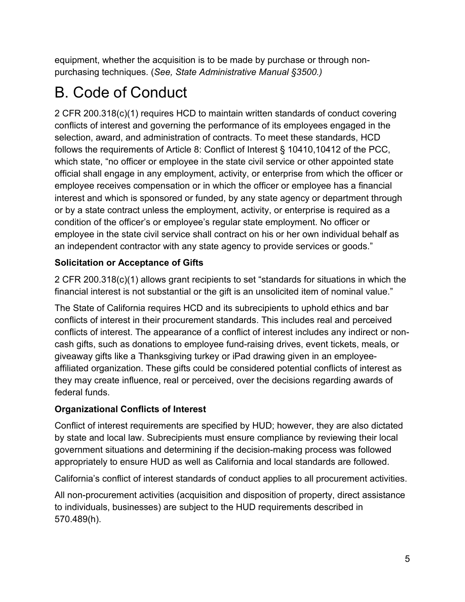equipment, whether the acquisition is to be made by purchase or through nonpurchasing techniques. (*See, State Administrative Manual §3500.)*

## <span id="page-4-0"></span>B. Code of Conduct

2 CFR 200.318(c)(1) requires HCD to maintain written standards of conduct covering conflicts of interest and governing the performance of its employees engaged in the selection, award, and administration of contracts. To meet these standards, HCD follows the requirements of Article 8: Conflict of Interest § 10410,10412 of the PCC, which state, "no officer or employee in the state civil service or other appointed state official shall engage in any employment, activity, or enterprise from which the officer or employee receives compensation or in which the officer or employee has a financial interest and which is sponsored or funded, by any state agency or department through or by a state contract unless the employment, activity, or enterprise is required as a condition of the officer's or employee's regular state employment. No officer or employee in the state civil service shall contract on his or her own individual behalf as an independent contractor with any state agency to provide services or goods."

#### <span id="page-4-1"></span>**Solicitation or Acceptance of Gifts**

2 CFR 200.318(c)(1) allows grant recipients to set "standards for situations in which the financial interest is not substantial or the gift is an unsolicited item of nominal value."

The State of California requires HCD and its subrecipients to uphold ethics and bar conflicts of interest in their procurement standards. This includes real and perceived conflicts of interest. The appearance of a conflict of interest includes any indirect or noncash gifts, such as donations to employee fund-raising drives, event tickets, meals, or giveaway gifts like a Thanksgiving turkey or iPad drawing given in an employeeaffiliated organization. These gifts could be considered potential conflicts of interest as they may create influence, real or perceived, over the decisions regarding awards of federal funds.

#### <span id="page-4-2"></span>**Organizational Conflicts of Interest**

Conflict of interest requirements are specified by HUD; however, they are also dictated by state and local law. Subrecipients must ensure compliance by reviewing their local government situations and determining if the decision-making process was followed appropriately to ensure HUD as well as California and local standards are followed.

California's conflict of interest standards of conduct applies to all procurement activities.

All non-procurement activities (acquisition and disposition of property, direct assistance to individuals, businesses) are subject to the HUD requirements described in 570.489(h).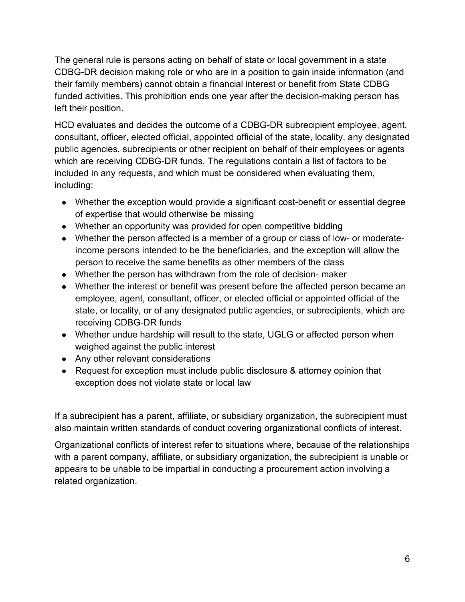The general rule is persons acting on behalf of state or local government in a state CDBG-DR decision making role or who are in a position to gain inside information (and their family members) cannot obtain a financial interest or benefit from State CDBG funded activities. This prohibition ends one year after the decision-making person has left their position.

HCD evaluates and decides the outcome of a CDBG-DR subrecipient employee, agent, consultant, officer, elected official, appointed official of the state, locality, any designated public agencies, subrecipients or other recipient on behalf of their employees or agents which are receiving CDBG-DR funds. The regulations contain a list of factors to be included in any requests, and which must be considered when evaluating them, including:

- Whether the exception would provide a significant cost-benefit or essential degree of expertise that would otherwise be missing
- Whether an opportunity was provided for open competitive bidding
- Whether the person affected is a member of a group or class of low- or moderateincome persons intended to be the beneficiaries, and the exception will allow the person to receive the same benefits as other members of the class
- Whether the person has withdrawn from the role of decision- maker
- Whether the interest or benefit was present before the affected person became an employee, agent, consultant, officer, or elected official or appointed official of the state, or locality, or of any designated public agencies, or subrecipients, which are receiving CDBG-DR funds
- Whether undue hardship will result to the state, UGLG or affected person when weighed against the public interest
- Any other relevant considerations
- Request for exception must include public disclosure & attorney opinion that exception does not violate state or local law

If a subrecipient has a parent, affiliate, or subsidiary organization, the subrecipient must also maintain written standards of conduct covering organizational conflicts of interest.

Organizational conflicts of interest refer to situations where, because of the relationships with a parent company, affiliate, or subsidiary organization, the subrecipient is unable or appears to be unable to be impartial in conducting a procurement action involving a related organization.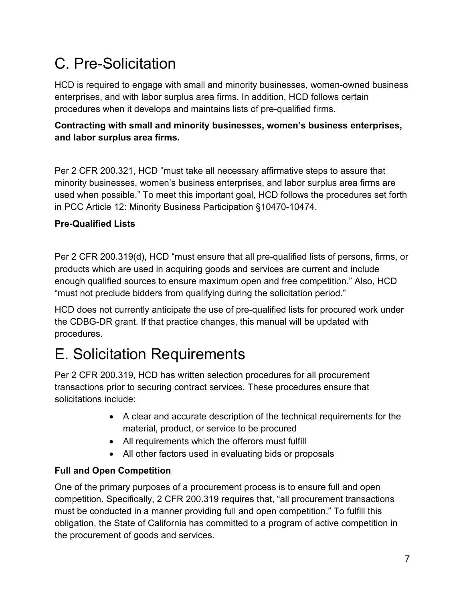### <span id="page-6-0"></span>C. Pre-Solicitation

HCD is required to engage with small and minority businesses, women-owned business enterprises, and with labor surplus area firms. In addition, HCD follows certain procedures when it develops and maintains lists of pre-qualified firms.

#### <span id="page-6-1"></span>**Contracting with small and minority businesses, women's business enterprises, and labor surplus area firms.**

Per 2 CFR 200.321, HCD "must take all necessary affirmative steps to assure that minority businesses, women's business enterprises, and labor surplus area firms are used when possible." To meet this important goal, HCD follows the procedures set forth in PCC Article 12: Minority Business Participation §10470-10474.

#### <span id="page-6-2"></span>**Pre-Qualified Lists**

Per 2 CFR 200.319(d), HCD "must ensure that all pre-qualified lists of persons, firms, or products which are used in acquiring goods and services are current and include enough qualified sources to ensure maximum open and free competition." Also, HCD "must not preclude bidders from qualifying during the solicitation period."

HCD does not currently anticipate the use of pre-qualified lists for procured work under the CDBG-DR grant. If that practice changes, this manual will be updated with procedures.

### <span id="page-6-3"></span>E. Solicitation Requirements

Per 2 CFR 200.319, HCD has written selection procedures for all procurement transactions prior to securing contract services. These procedures ensure that solicitations include:

- A clear and accurate description of the technical requirements for the material, product, or service to be procured
- All requirements which the offerors must fulfill
- All other factors used in evaluating bids or proposals

#### <span id="page-6-4"></span>**Full and Open Competition**

One of the primary purposes of a procurement process is to ensure full and open competition. Specifically, 2 CFR 200.319 requires that, "all procurement transactions must be conducted in a manner providing full and open competition." To fulfill this obligation, the State of California has committed to a program of active competition in the procurement of goods and services.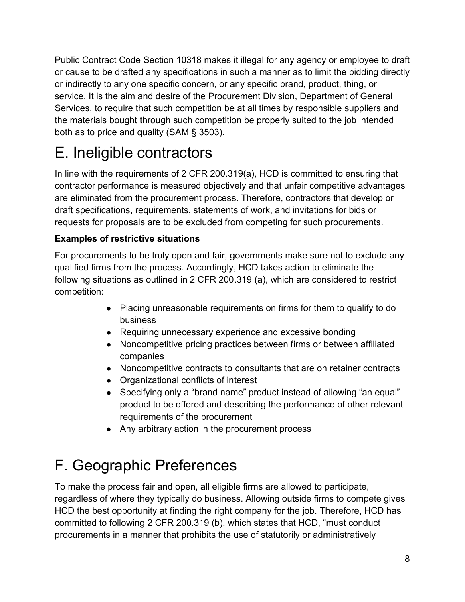Public Contract Code Section 10318 makes it illegal for any agency or employee to draft or cause to be drafted any specifications in such a manner as to limit the bidding directly or indirectly to any one specific concern, or any specific brand, product, thing, or service. It is the aim and desire of the Procurement Division, Department of General Services, to require that such competition be at all times by responsible suppliers and the materials bought through such competition be properly suited to the job intended both as to price and quality (SAM § 3503).

### <span id="page-7-0"></span>E. Ineligible contractors

In line with the requirements of 2 CFR 200.319(a), HCD is committed to ensuring that contractor performance is measured objectively and that unfair competitive advantages are eliminated from the procurement process. Therefore, contractors that develop or draft specifications, requirements, statements of work, and invitations for bids or requests for proposals are to be excluded from competing for such procurements.

#### <span id="page-7-1"></span>**Examples of restrictive situations**

For procurements to be truly open and fair, governments make sure not to exclude any qualified firms from the process. Accordingly, HCD takes action to eliminate the following situations as outlined in 2 CFR 200.319 (a), which are considered to restrict competition:

- Placing unreasonable requirements on firms for them to qualify to do business
- Requiring unnecessary experience and excessive bonding
- Noncompetitive pricing practices between firms or between affiliated companies
- Noncompetitive contracts to consultants that are on retainer contracts
- Organizational conflicts of interest
- Specifying only a "brand name" product instead of allowing "an equal" product to be offered and describing the performance of other relevant requirements of the procurement
- Any arbitrary action in the procurement process

### <span id="page-7-2"></span>F. Geographic Preferences

To make the process fair and open, all eligible firms are allowed to participate, regardless of where they typically do business. Allowing outside firms to compete gives HCD the best opportunity at finding the right company for the job. Therefore, HCD has committed to following 2 CFR 200.319 (b), which states that HCD, "must conduct procurements in a manner that prohibits the use of statutorily or administratively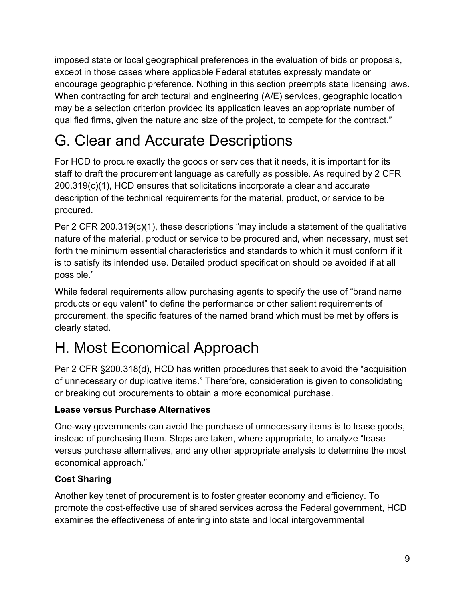imposed state or local geographical preferences in the evaluation of bids or proposals, except in those cases where applicable Federal statutes expressly mandate or encourage geographic preference. Nothing in this section preempts state licensing laws. When contracting for architectural and engineering (A/E) services, geographic location may be a selection criterion provided its application leaves an appropriate number of qualified firms, given the nature and size of the project, to compete for the contract."

### <span id="page-8-0"></span>G. Clear and Accurate Descriptions

For HCD to procure exactly the goods or services that it needs, it is important for its staff to draft the procurement language as carefully as possible. As required by 2 CFR 200.319(c)(1), HCD ensures that solicitations incorporate a clear and accurate description of the technical requirements for the material, product, or service to be procured.

Per 2 CFR 200.319(c)(1), these descriptions "may include a statement of the qualitative nature of the material, product or service to be procured and, when necessary, must set forth the minimum essential characteristics and standards to which it must conform if it is to satisfy its intended use. Detailed product specification should be avoided if at all possible."

While federal requirements allow purchasing agents to specify the use of "brand name products or equivalent" to define the performance or other salient requirements of procurement, the specific features of the named brand which must be met by offers is clearly stated.

## <span id="page-8-1"></span>H. Most Economical Approach

Per 2 CFR §200.318(d), HCD has written procedures that seek to avoid the "acquisition of unnecessary or duplicative items." Therefore, consideration is given to consolidating or breaking out procurements to obtain a more economical purchase.

#### <span id="page-8-2"></span>**Lease versus Purchase Alternatives**

One-way governments can avoid the purchase of unnecessary items is to lease goods, instead of purchasing them. Steps are taken, where appropriate, to analyze "lease versus purchase alternatives, and any other appropriate analysis to determine the most economical approach."

#### <span id="page-8-3"></span>**Cost Sharing**

Another key tenet of procurement is to foster greater economy and efficiency. To promote the cost-effective use of shared services across the Federal government, HCD examines the effectiveness of entering into state and local intergovernmental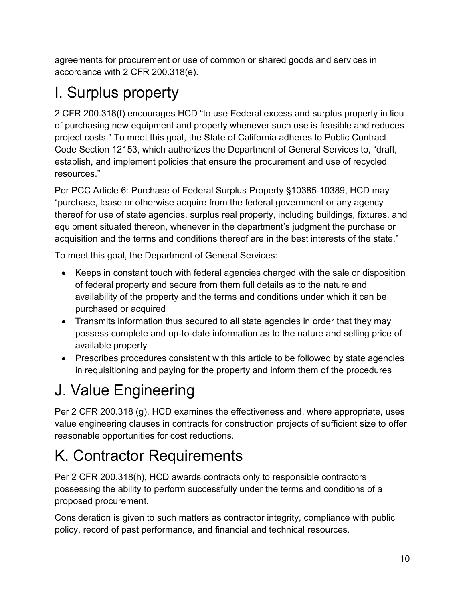agreements for procurement or use of common or shared goods and services in accordance with 2 CFR 200.318(e).

### <span id="page-9-0"></span>I. Surplus property

2 CFR 200.318(f) encourages HCD "to use Federal excess and surplus property in lieu of purchasing new equipment and property whenever such use is feasible and reduces project costs." To meet this goal, the State of California adheres to Public Contract Code Section 12153, which authorizes the Department of General Services to, "draft, establish, and implement policies that ensure the procurement and use of recycled resources."

Per PCC Article 6: Purchase of Federal Surplus Property §10385-10389, HCD may "purchase, lease or otherwise acquire from the federal government or any agency thereof for use of state agencies, surplus real property, including buildings, fixtures, and equipment situated thereon, whenever in the department's judgment the purchase or acquisition and the terms and conditions thereof are in the best interests of the state."

To meet this goal, the Department of General Services:

- Keeps in constant touch with federal agencies charged with the sale or disposition of federal property and secure from them full details as to the nature and availability of the property and the terms and conditions under which it can be purchased or acquired
- Transmits information thus secured to all state agencies in order that they may possess complete and up-to-date information as to the nature and selling price of available property
- Prescribes procedures consistent with this article to be followed by state agencies in requisitioning and paying for the property and inform them of the procedures

## <span id="page-9-1"></span>J. Value Engineering

Per 2 CFR 200.318 (g), HCD examines the effectiveness and, where appropriate, uses value engineering clauses in contracts for construction projects of sufficient size to offer reasonable opportunities for cost reductions.

## <span id="page-9-2"></span>K. Contractor Requirements

Per 2 CFR 200.318(h), HCD awards contracts only to responsible contractors possessing the ability to perform successfully under the terms and conditions of a proposed procurement.

Consideration is given to such matters as contractor integrity, compliance with public policy, record of past performance, and financial and technical resources.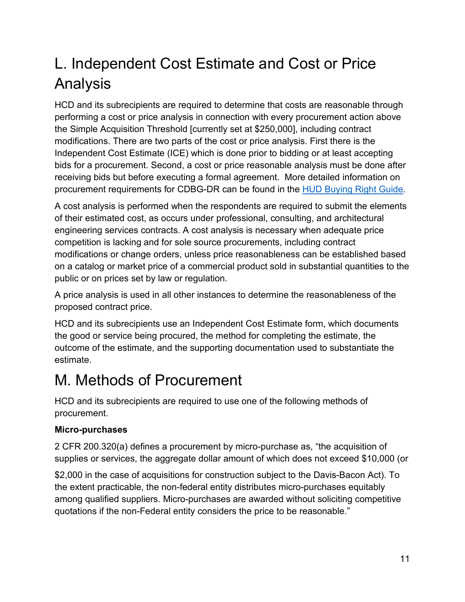### <span id="page-10-0"></span>L. Independent Cost Estimate and Cost or Price Analysis

HCD and its subrecipients are required to determine that costs are reasonable through performing a cost or price analysis in connection with every procurement action above the Simple Acquisition Threshold [currently set at \$250,000], including contract modifications. There are two parts of the cost or price analysis. First there is the Independent Cost Estimate (ICE) which is done prior to bidding or at least accepting bids for a procurement. Second, a cost or price reasonable analysis must be done after receiving bids but before executing a formal agreement. More detailed information on procurement requirements for CDBG-DR can be found in the [HUD Buying Right Guide.](https://www.hudexchange.info/resource/5614/buying-right-cdbg-dr-and-procurement-a-guide-to-recovery/)

A cost analysis is performed when the respondents are required to submit the elements of their estimated cost, as occurs under professional, consulting, and architectural engineering services contracts. A cost analysis is necessary when adequate price competition is lacking and for sole source procurements, including contract modifications or change orders, unless price reasonableness can be established based on a catalog or market price of a commercial product sold in substantial quantities to the public or on prices set by law or regulation.

A price analysis is used in all other instances to determine the reasonableness of the proposed contract price.

HCD and its subrecipients use an Independent Cost Estimate form, which documents the good or service being procured, the method for completing the estimate, the outcome of the estimate, and the supporting documentation used to substantiate the estimate.

### <span id="page-10-1"></span>M. Methods of Procurement

HCD and its subrecipients are required to use one of the following methods of procurement.

#### <span id="page-10-2"></span>**Micro-purchases**

2 CFR 200.320(a) defines a procurement by micro-purchase as, "the acquisition of supplies or services, the aggregate dollar amount of which does not exceed \$10,000 (or

\$2,000 in the case of acquisitions for construction subject to the Davis-Bacon Act). To the extent practicable, the non-federal entity distributes micro-purchases equitably among qualified suppliers. Micro-purchases are awarded without soliciting competitive quotations if the non-Federal entity considers the price to be reasonable."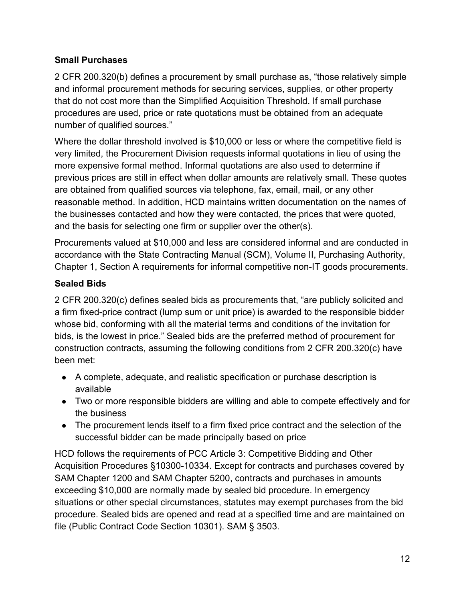#### <span id="page-11-0"></span>**Small Purchases**

2 CFR 200.320(b) defines a procurement by small purchase as, "those relatively simple and informal procurement methods for securing services, supplies, or other property that do not cost more than the Simplified Acquisition Threshold. If small purchase procedures are used, price or rate quotations must be obtained from an adequate number of qualified sources."

Where the dollar threshold involved is \$10,000 or less or where the competitive field is very limited, the Procurement Division requests informal quotations in lieu of using the more expensive formal method. Informal quotations are also used to determine if previous prices are still in effect when dollar amounts are relatively small. These quotes are obtained from qualified sources via telephone, fax, email, mail, or any other reasonable method. In addition, HCD maintains written documentation on the names of the businesses contacted and how they were contacted, the prices that were quoted, and the basis for selecting one firm or supplier over the other(s).

Procurements valued at \$10,000 and less are considered informal and are conducted in accordance with the State Contracting Manual (SCM), Volume II, Purchasing Authority, Chapter 1, Section A requirements for informal competitive non-IT goods procurements.

#### <span id="page-11-1"></span>**Sealed Bids**

2 CFR 200.320(c) defines sealed bids as procurements that, "are publicly solicited and a firm fixed-price contract (lump sum or unit price) is awarded to the responsible bidder whose bid, conforming with all the material terms and conditions of the invitation for bids, is the lowest in price." Sealed bids are the preferred method of procurement for construction contracts, assuming the following conditions from 2 CFR 200.320(c) have been met:

- A complete, adequate, and realistic specification or purchase description is available
- Two or more responsible bidders are willing and able to compete effectively and for the business
- The procurement lends itself to a firm fixed price contract and the selection of the successful bidder can be made principally based on price

HCD follows the requirements of PCC Article 3: Competitive Bidding and Other Acquisition Procedures §10300-10334. Except for contracts and purchases covered by SAM Chapter 1200 and SAM Chapter 5200, contracts and purchases in amounts exceeding \$10,000 are normally made by sealed bid procedure. In emergency situations or other special circumstances, statutes may exempt purchases from the bid procedure. Sealed bids are opened and read at a specified time and are maintained on file (Public Contract Code Section 10301). SAM § 3503.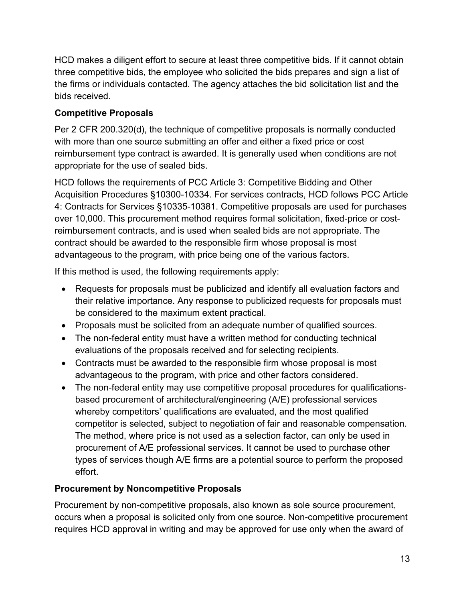HCD makes a diligent effort to secure at least three competitive bids. If it cannot obtain three competitive bids, the employee who solicited the bids prepares and sign a list of the firms or individuals contacted. The agency attaches the bid solicitation list and the bids received.

#### <span id="page-12-0"></span>**Competitive Proposals**

Per 2 CFR 200.320(d), the technique of competitive proposals is normally conducted with more than one source submitting an offer and either a fixed price or cost reimbursement type contract is awarded. It is generally used when conditions are not appropriate for the use of sealed bids.

HCD follows the requirements of PCC Article 3: Competitive Bidding and Other Acquisition Procedures §10300-10334. For services contracts, HCD follows PCC Article 4: Contracts for Services §10335-10381. Competitive proposals are used for purchases over 10,000. This procurement method requires formal solicitation, fixed-price or costreimbursement contracts, and is used when sealed bids are not appropriate. The contract should be awarded to the responsible firm whose proposal is most advantageous to the program, with price being one of the various factors.

If this method is used, the following requirements apply:

- Requests for proposals must be publicized and identify all evaluation factors and their relative importance. Any response to publicized requests for proposals must be considered to the maximum extent practical.
- Proposals must be solicited from an adequate number of qualified sources.
- The non-federal entity must have a written method for conducting technical evaluations of the proposals received and for selecting recipients.
- Contracts must be awarded to the responsible firm whose proposal is most advantageous to the program, with price and other factors considered.
- The non-federal entity may use competitive proposal procedures for qualificationsbased procurement of architectural/engineering (A/E) professional services whereby competitors' qualifications are evaluated, and the most qualified competitor is selected, subject to negotiation of fair and reasonable compensation. The method, where price is not used as a selection factor, can only be used in procurement of A/E professional services. It cannot be used to purchase other types of services though A/E firms are a potential source to perform the proposed effort.

#### <span id="page-12-1"></span>**Procurement by Noncompetitive Proposals**

Procurement by non-competitive proposals, also known as sole source procurement, occurs when a proposal is solicited only from one source. Non-competitive procurement requires HCD approval in writing and may be approved for use only when the award of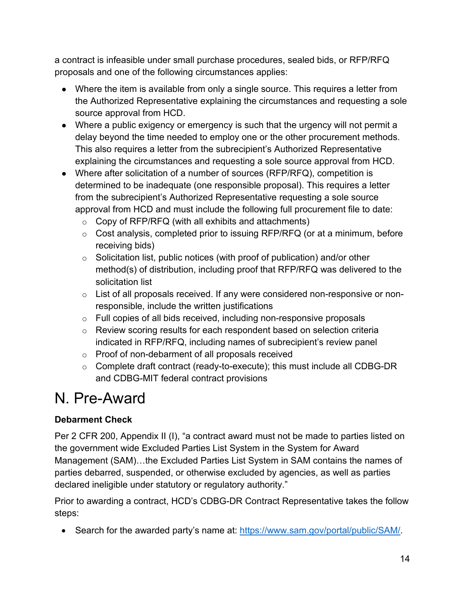a contract is infeasible under small purchase procedures, sealed bids, or RFP/RFQ proposals and one of the following circumstances applies:

- Where the item is available from only a single source. This requires a letter from the Authorized Representative explaining the circumstances and requesting a sole source approval from HCD.
- Where a public exigency or emergency is such that the urgency will not permit a delay beyond the time needed to employ one or the other procurement methods. This also requires a letter from the subrecipient's Authorized Representative explaining the circumstances and requesting a sole source approval from HCD.
- Where after solicitation of a number of sources (RFP/RFQ), competition is determined to be inadequate (one responsible proposal). This requires a letter from the subrecipient's Authorized Representative requesting a sole source approval from HCD and must include the following full procurement file to date:
	- $\circ$  Copy of RFP/RFQ (with all exhibits and attachments)
	- $\circ$  Cost analysis, completed prior to issuing RFP/RFQ (or at a minimum, before receiving bids)
	- $\circ$  Solicitation list, public notices (with proof of publication) and/or other method(s) of distribution, including proof that RFP/RFQ was delivered to the solicitation list
	- o List of all proposals received. If any were considered non-responsive or nonresponsible, include the written justifications
	- o Full copies of all bids received, including non-responsive proposals
	- o Review scoring results for each respondent based on selection criteria indicated in RFP/RFQ, including names of subrecipient's review panel
	- o Proof of non-debarment of all proposals received
	- $\circ$  Complete draft contract (ready-to-execute); this must include all CDBG-DR and CDBG-MIT federal contract provisions

### <span id="page-13-0"></span>N. Pre-Award

#### <span id="page-13-1"></span>**Debarment Check**

Per 2 CFR 200, Appendix II (I), "a contract award must not be made to parties listed on the government wide Excluded Parties List System in the System for Award Management (SAM)…the Excluded Parties List System in SAM contains the names of parties debarred, suspended, or otherwise excluded by agencies, as well as parties declared ineligible under statutory or regulatory authority."

Prior to awarding a contract, HCD's CDBG-DR Contract Representative takes the follow steps:

• Search for the awarded party's name at: [https://www.sam.gov/portal/public/SAM/.](https://www.sam.gov/portal/public/SAM/)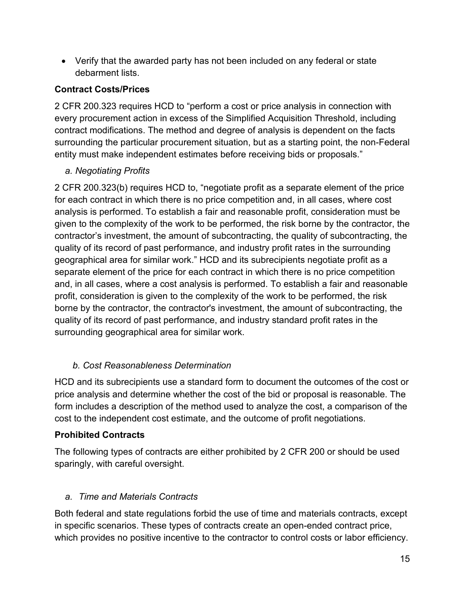• Verify that the awarded party has not been included on any federal or state debarment lists.

#### <span id="page-14-0"></span>**Contract Costs/Prices**

2 CFR 200.323 requires HCD to "perform a cost or price analysis in connection with every procurement action in excess of the Simplified Acquisition Threshold, including contract modifications. The method and degree of analysis is dependent on the facts surrounding the particular procurement situation, but as a starting point, the non-Federal entity must make independent estimates before receiving bids or proposals."

#### <span id="page-14-1"></span>*a. Negotiating Profits*

2 CFR 200.323(b) requires HCD to, "negotiate profit as a separate element of the price for each contract in which there is no price competition and, in all cases, where cost analysis is performed. To establish a fair and reasonable profit, consideration must be given to the complexity of the work to be performed, the risk borne by the contractor, the contractor's investment, the amount of subcontracting, the quality of subcontracting, the quality of its record of past performance, and industry profit rates in the surrounding geographical area for similar work." HCD and its subrecipients negotiate profit as a separate element of the price for each contract in which there is no price competition and, in all cases, where a cost analysis is performed. To establish a fair and reasonable profit, consideration is given to the complexity of the work to be performed, the risk borne by the contractor, the contractor's investment, the amount of subcontracting, the quality of its record of past performance, and industry standard profit rates in the surrounding geographical area for similar work.

#### <span id="page-14-2"></span> *b. Cost Reasonableness Determination*

HCD and its subrecipients use a standard form to document the outcomes of the cost or price analysis and determine whether the cost of the bid or proposal is reasonable. The form includes a description of the method used to analyze the cost, a comparison of the cost to the independent cost estimate, and the outcome of profit negotiations.

#### <span id="page-14-3"></span>**Prohibited Contracts**

The following types of contracts are either prohibited by 2 CFR 200 or should be used sparingly, with careful oversight.

#### <span id="page-14-4"></span>*a. Time and Materials Contracts*

Both federal and state regulations forbid the use of time and materials contracts, except in specific scenarios. These types of contracts create an open-ended contract price, which provides no positive incentive to the contractor to control costs or labor efficiency.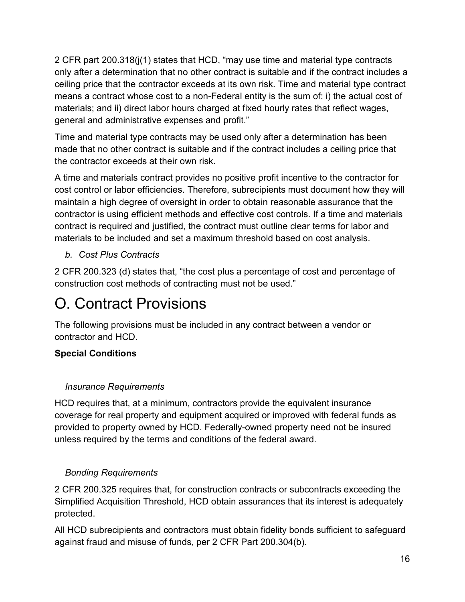2 CFR part 200.318(j(1) states that HCD, "may use time and material type contracts only after a determination that no other contract is suitable and if the contract includes a ceiling price that the contractor exceeds at its own risk. Time and material type contract means a contract whose cost to a non-Federal entity is the sum of: i) the actual cost of materials; and ii) direct labor hours charged at fixed hourly rates that reflect wages, general and administrative expenses and profit."

Time and material type contracts may be used only after a determination has been made that no other contract is suitable and if the contract includes a ceiling price that the contractor exceeds at their own risk.

A time and materials contract provides no positive profit incentive to the contractor for cost control or labor efficiencies. Therefore, subrecipients must document how they will maintain a high degree of oversight in order to obtain reasonable assurance that the contractor is using efficient methods and effective cost controls. If a time and materials contract is required and justified, the contract must outline clear terms for labor and materials to be included and set a maximum threshold based on cost analysis.

#### <span id="page-15-0"></span>*b. Cost Plus Contracts*

2 CFR 200.323 (d) states that, "the cost plus a percentage of cost and percentage of construction cost methods of contracting must not be used."

### <span id="page-15-1"></span>O. Contract Provisions

The following provisions must be included in any contract between a vendor or contractor and HCD.

#### <span id="page-15-2"></span>**Special Conditions**

#### <span id="page-15-3"></span>*Insurance Requirements*

HCD requires that, at a minimum, contractors provide the equivalent insurance coverage for real property and equipment acquired or improved with federal funds as provided to property owned by HCD. Federally-owned property need not be insured unless required by the terms and conditions of the federal award.

#### <span id="page-15-4"></span>*Bonding Requirements*

2 CFR 200.325 requires that, for construction contracts or subcontracts exceeding the Simplified Acquisition Threshold, HCD obtain assurances that its interest is adequately protected.

All HCD subrecipients and contractors must obtain fidelity bonds sufficient to safeguard against fraud and misuse of funds, per 2 CFR Part 200.304(b).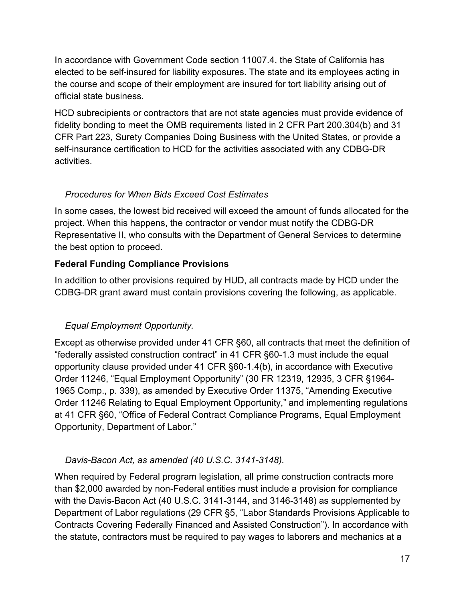In accordance with Government Code section 11007.4, the State of California has elected to be self-insured for liability exposures. The state and its employees acting in the course and scope of their employment are insured for tort liability arising out of official state business.

HCD subrecipients or contractors that are not state agencies must provide evidence of fidelity bonding to meet the OMB requirements listed in 2 CFR Part 200.304(b) and 31 CFR Part 223, Surety Companies Doing Business with the United States, or provide a self-insurance certification to HCD for the activities associated with any CDBG-DR activities.

#### <span id="page-16-0"></span>*Procedures for When Bids Exceed Cost Estimates*

In some cases, the lowest bid received will exceed the amount of funds allocated for the project. When this happens, the contractor or vendor must notify the CDBG-DR Representative II, who consults with the Department of General Services to determine the best option to proceed.

#### <span id="page-16-1"></span>**Federal Funding Compliance Provisions**

In addition to other provisions required by HUD, all contracts made by HCD under the CDBG-DR grant award must contain provisions covering the following, as applicable.

#### <span id="page-16-2"></span>*Equal Employment Opportunity.*

Except as otherwise provided under 41 CFR §60, all contracts that meet the definition of "federally assisted construction contract" in 41 CFR §60-1.3 must include the equal opportunity clause provided under 41 CFR §60-1.4(b), in accordance with Executive Order 11246, "Equal Employment Opportunity" (30 FR 12319, 12935, 3 CFR §1964- 1965 Comp., p. 339), as amended by Executive Order 11375, "Amending Executive Order 11246 Relating to Equal Employment Opportunity," and implementing regulations at 41 CFR §60, "Office of Federal Contract Compliance Programs, Equal Employment Opportunity, Department of Labor."

#### <span id="page-16-3"></span>*Davis-Bacon Act, as amended (40 U.S.C. 3141-3148).*

When required by Federal program legislation, all prime construction contracts more than \$2,000 awarded by non-Federal entities must include a provision for compliance with the Davis-Bacon Act (40 U.S.C. 3141-3144, and 3146-3148) as supplemented by Department of Labor regulations (29 CFR §5, "Labor Standards Provisions Applicable to Contracts Covering Federally Financed and Assisted Construction"). In accordance with the statute, contractors must be required to pay wages to laborers and mechanics at a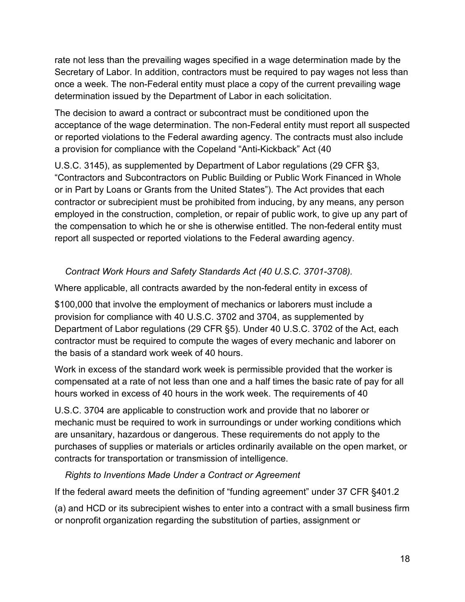rate not less than the prevailing wages specified in a wage determination made by the Secretary of Labor. In addition, contractors must be required to pay wages not less than once a week. The non-Federal entity must place a copy of the current prevailing wage determination issued by the Department of Labor in each solicitation.

The decision to award a contract or subcontract must be conditioned upon the acceptance of the wage determination. The non-Federal entity must report all suspected or reported violations to the Federal awarding agency. The contracts must also include a provision for compliance with the Copeland "Anti-Kickback" Act (40

U.S.C. 3145), as supplemented by Department of Labor regulations (29 CFR §3, "Contractors and Subcontractors on Public Building or Public Work Financed in Whole or in Part by Loans or Grants from the United States"). The Act provides that each contractor or subrecipient must be prohibited from inducing, by any means, any person employed in the construction, completion, or repair of public work, to give up any part of the compensation to which he or she is otherwise entitled. The non-federal entity must report all suspected or reported violations to the Federal awarding agency.

#### <span id="page-17-0"></span>*Contract Work Hours and Safety Standards Act (40 U.S.C. 3701-3708).*

Where applicable, all contracts awarded by the non-federal entity in excess of

\$100,000 that involve the employment of mechanics or laborers must include a provision for compliance with 40 U.S.C. 3702 and 3704, as supplemented by Department of Labor regulations (29 CFR §5). Under 40 U.S.C. 3702 of the Act, each contractor must be required to compute the wages of every mechanic and laborer on the basis of a standard work week of 40 hours.

Work in excess of the standard work week is permissible provided that the worker is compensated at a rate of not less than one and a half times the basic rate of pay for all hours worked in excess of 40 hours in the work week. The requirements of 40

U.S.C. 3704 are applicable to construction work and provide that no laborer or mechanic must be required to work in surroundings or under working conditions which are unsanitary, hazardous or dangerous. These requirements do not apply to the purchases of supplies or materials or articles ordinarily available on the open market, or contracts for transportation or transmission of intelligence.

#### <span id="page-17-1"></span>*Rights to Inventions Made Under a Contract or Agreement*

If the federal award meets the definition of "funding agreement" under 37 CFR §401.2

(a) and HCD or its subrecipient wishes to enter into a contract with a small business firm or nonprofit organization regarding the substitution of parties, assignment or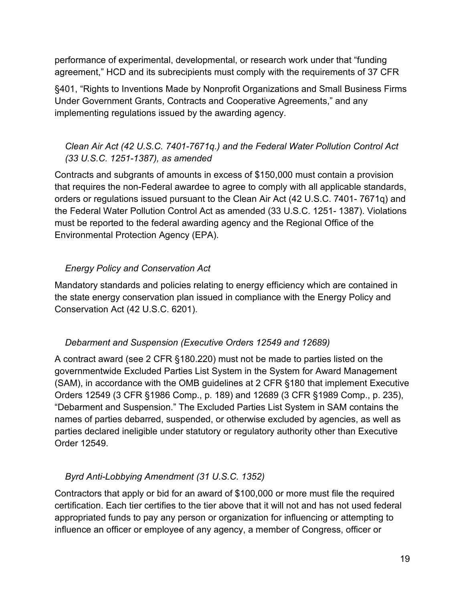performance of experimental, developmental, or research work under that "funding agreement," HCD and its subrecipients must comply with the requirements of 37 CFR

§401, "Rights to Inventions Made by Nonprofit Organizations and Small Business Firms Under Government Grants, Contracts and Cooperative Agreements," and any implementing regulations issued by the awarding agency.

#### <span id="page-18-0"></span>*Clean Air Act (42 U.S.C. 7401-7671q.) and the Federal Water Pollution Control Act (33 U.S.C. 1251-1387), as amended*

Contracts and subgrants of amounts in excess of \$150,000 must contain a provision that requires the non-Federal awardee to agree to comply with all applicable standards, orders or regulations issued pursuant to the Clean Air Act (42 U.S.C. 7401- 7671q) and the Federal Water Pollution Control Act as amended (33 U.S.C. 1251- 1387). Violations must be reported to the federal awarding agency and the Regional Office of the Environmental Protection Agency (EPA).

#### <span id="page-18-1"></span>*Energy Policy and Conservation Act*

Mandatory standards and policies relating to energy efficiency which are contained in the state energy conservation plan issued in compliance with the Energy Policy and Conservation Act (42 U.S.C. 6201).

#### <span id="page-18-2"></span>*Debarment and Suspension (Executive Orders 12549 and 12689)*

A contract award (see 2 CFR §180.220) must not be made to parties listed on the governmentwide Excluded Parties List System in the System for Award Management (SAM), in accordance with the OMB guidelines at 2 CFR §180 that implement Executive Orders 12549 (3 CFR §1986 Comp., p. 189) and 12689 (3 CFR §1989 Comp., p. 235), "Debarment and Suspension." The Excluded Parties List System in SAM contains the names of parties debarred, suspended, or otherwise excluded by agencies, as well as parties declared ineligible under statutory or regulatory authority other than Executive Order 12549.

#### <span id="page-18-3"></span>*Byrd Anti-Lobbying Amendment (31 U.S.C. 1352)*

Contractors that apply or bid for an award of \$100,000 or more must file the required certification. Each tier certifies to the tier above that it will not and has not used federal appropriated funds to pay any person or organization for influencing or attempting to influence an officer or employee of any agency, a member of Congress, officer or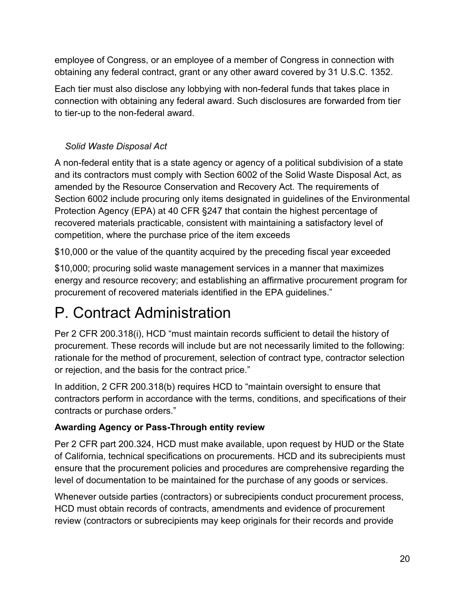employee of Congress, or an employee of a member of Congress in connection with obtaining any federal contract, grant or any other award covered by 31 U.S.C. 1352.

Each tier must also disclose any lobbying with non-federal funds that takes place in connection with obtaining any federal award. Such disclosures are forwarded from tier to tier-up to the non-federal award.

#### <span id="page-19-0"></span>*Solid Waste Disposal Act*

A non-federal entity that is a state agency or agency of a political subdivision of a state and its contractors must comply with Section 6002 of the Solid Waste Disposal Act, as amended by the Resource Conservation and Recovery Act. The requirements of Section 6002 include procuring only items designated in guidelines of the Environmental Protection Agency (EPA) at 40 CFR §247 that contain the highest percentage of recovered materials practicable, consistent with maintaining a satisfactory level of competition, where the purchase price of the item exceeds

\$10,000 or the value of the quantity acquired by the preceding fiscal year exceeded

\$10,000; procuring solid waste management services in a manner that maximizes energy and resource recovery; and establishing an affirmative procurement program for procurement of recovered materials identified in the EPA guidelines."

### <span id="page-19-1"></span>P. Contract Administration

Per 2 CFR 200.318(i), HCD "must maintain records sufficient to detail the history of procurement. These records will include but are not necessarily limited to the following: rationale for the method of procurement, selection of contract type, contractor selection or rejection, and the basis for the contract price."

In addition, 2 CFR 200.318(b) requires HCD to "maintain oversight to ensure that contractors perform in accordance with the terms, conditions, and specifications of their contracts or purchase orders."

#### <span id="page-19-2"></span>**Awarding Agency or Pass-Through entity review**

Per 2 CFR part 200.324, HCD must make available, upon request by HUD or the State of California, technical specifications on procurements. HCD and its subrecipients must ensure that the procurement policies and procedures are comprehensive regarding the level of documentation to be maintained for the purchase of any goods or services.

Whenever outside parties (contractors) or subrecipients conduct procurement process, HCD must obtain records of contracts, amendments and evidence of procurement review (contractors or subrecipients may keep originals for their records and provide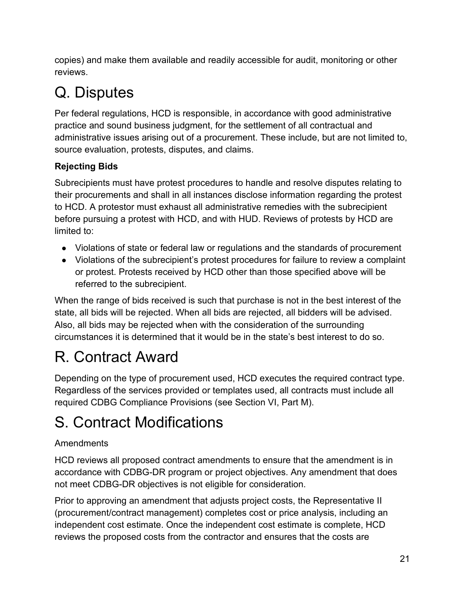copies) and make them available and readily accessible for audit, monitoring or other reviews.

## <span id="page-20-0"></span>Q. Disputes

Per federal regulations, HCD is responsible, in accordance with good administrative practice and sound business judgment, for the settlement of all contractual and administrative issues arising out of a procurement. These include, but are not limited to, source evaluation, protests, disputes, and claims.

#### <span id="page-20-1"></span>**Rejecting Bids**

Subrecipients must have protest procedures to handle and resolve disputes relating to their procurements and shall in all instances disclose information regarding the protest to HCD. A protestor must exhaust all administrative remedies with the subrecipient before pursuing a protest with HCD, and with HUD. Reviews of protests by HCD are limited to:

- Violations of state or federal law or regulations and the standards of procurement
- Violations of the subrecipient's protest procedures for failure to review a complaint or protest. Protests received by HCD other than those specified above will be referred to the subrecipient.

When the range of bids received is such that purchase is not in the best interest of the state, all bids will be rejected. When all bids are rejected, all bidders will be advised. Also, all bids may be rejected when with the consideration of the surrounding circumstances it is determined that it would be in the state's best interest to do so.

## <span id="page-20-2"></span>R. Contract Award

Depending on the type of procurement used, HCD executes the required contract type. Regardless of the services provided or templates used, all contracts must include all required CDBG Compliance Provisions (see Section VI, Part M).

### <span id="page-20-3"></span>S. Contract Modifications

#### Amendments

HCD reviews all proposed contract amendments to ensure that the amendment is in accordance with CDBG-DR program or project objectives. Any amendment that does not meet CDBG-DR objectives is not eligible for consideration.

Prior to approving an amendment that adjusts project costs, the Representative II (procurement/contract management) completes cost or price analysis, including an independent cost estimate. Once the independent cost estimate is complete, HCD reviews the proposed costs from the contractor and ensures that the costs are